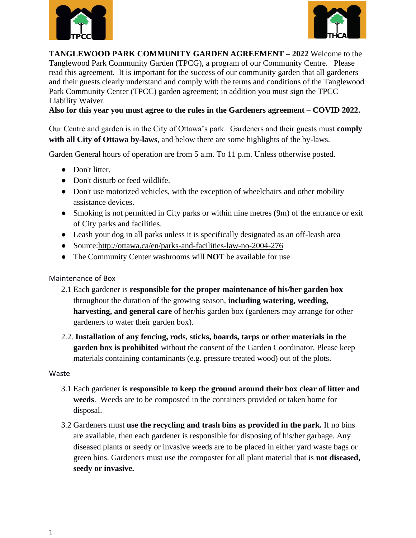



**TANGLEWOOD PARK COMMUNITY GARDEN AGREEMENT – 2022** Welcome to the Tanglewood Park Community Garden (TPCG), a program of our Community Centre. Please read this agreement. It is important for the success of our community garden that all gardeners and their guests clearly understand and comply with the terms and conditions of the Tanglewood Park Community Center (TPCC) garden agreement; in addition you must sign the TPCC Liability Waiver.

**Also for this year you must agree to the rules in the Gardeners agreement – COVID 2022.**

Our Centre and garden is in the City of Ottawa's park. Gardeners and their guests must **comply with all City of Ottawa by-laws**, and below there are some highlights of the by-laws.

Garden General hours of operation are from 5 a.m. To 11 p.m. Unless otherwise posted.

- Don't litter.
- Don't disturb or feed wildlife.
- Don't use motorized vehicles, with the exception of wheelchairs and other mobility assistance devices.
- Smoking is not permitted in City parks or within nine metres (9m) of the entrance or exit of City parks and facilities.
- Leash your dog in all parks unless it is specifically designated as an off-leash area
- Source[:http://ottawa.ca/en/parks-and-facilities-law-no-2004-276](http://ottawa.ca/en/parks-and-facilities-law-no-2004-276)
- The Community Center washrooms will **NOT** be available for use

### Maintenance of Box

- 2.1 Each gardener is **responsible for the proper maintenance of his/her garden box** throughout the duration of the growing season, **including watering, weeding, harvesting, and general care** of her/his garden box (gardeners may arrange for other gardeners to water their garden box).
- 2.2. **Installation of any fencing, rods, sticks, boards, tarps or other materials in the garden box is prohibited** without the consent of the Garden Coordinator. Please keep materials containing contaminants (e.g. pressure treated wood) out of the plots.

### Waste

- 3.1 Each gardener **is responsible to keep the ground around their box clear of litter and weeds**. Weeds are to be composted in the containers provided or taken home for disposal.
- 3.2 Gardeners must **use the recycling and trash bins as provided in the park.** If no bins are available, then each gardener is responsible for disposing of his/her garbage. Any diseased plants or seedy or invasive weeds are to be placed in either yard waste bags or green bins. Gardeners must use the composter for all plant material that is **not diseased, seedy or invasive.**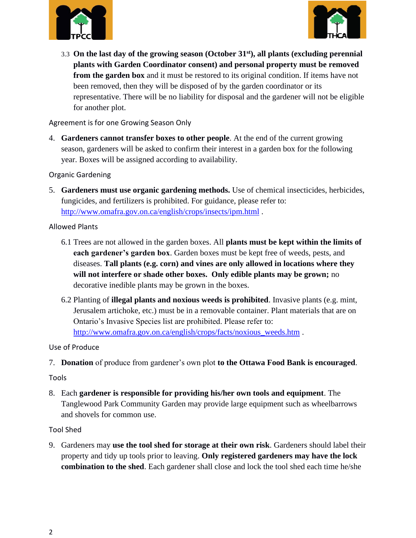



3.3 **On the last day of the growing season (October 31st), all plants (excluding perennial plants with Garden Coordinator consent) and personal property must be removed from the garden box** and it must be restored to its original condition. If items have not been removed, then they will be disposed of by the garden coordinator or its representative. There will be no liability for disposal and the gardener will not be eligible for another plot.

Agreement is for one Growing Season Only

4. **Gardeners cannot transfer boxes to other people**. At the end of the current growing season, gardeners will be asked to confirm their interest in a garden box for the following year. Boxes will be assigned according to availability.

Organic Gardening

5. **Gardeners must use organic gardening methods.** Use of chemical insecticides, herbicides, fungicides, and fertilizers is prohibited. For guidance, please refer to: <http://www.omafra.gov.on.ca/english/crops/insects/ipm.html> .

Allowed Plants

- 6.1 Trees are not allowed in the garden boxes. All **plants must be kept within the limits of each gardener's garden box**. Garden boxes must be kept free of weeds, pests, and diseases. **Tall plants (e.g. corn) and vines are only allowed in locations where they will not interfere or shade other boxes. Only edible plants may be grown;** no decorative inedible plants may be grown in the boxes.
- 6.2 Planting of **illegal plants and noxious weeds is prohibited**. Invasive plants (e.g. mint, Jerusalem artichoke, etc.) must be in a removable container. Plant materials that are on Ontario's Invasive Species list are prohibited. Please refer to: [http://www.omafra.gov.on.ca/english/crops/facts/noxious\\_weeds.htm](http://www.omafra.gov.on.ca/english/crops/facts/noxious_weeds.htm) .

Use of Produce

7. **Donation** of produce from gardener's own plot **to the Ottawa Food Bank is encouraged**.

Tools

8. Each **gardener is responsible for providing his/her own tools and equipment**. The Tanglewood Park Community Garden may provide large equipment such as wheelbarrows and shovels for common use.

Tool Shed

9. Gardeners may **use the tool shed for storage at their own risk**. Gardeners should label their property and tidy up tools prior to leaving. **Only registered gardeners may have the lock combination to the shed**. Each gardener shall close and lock the tool shed each time he/she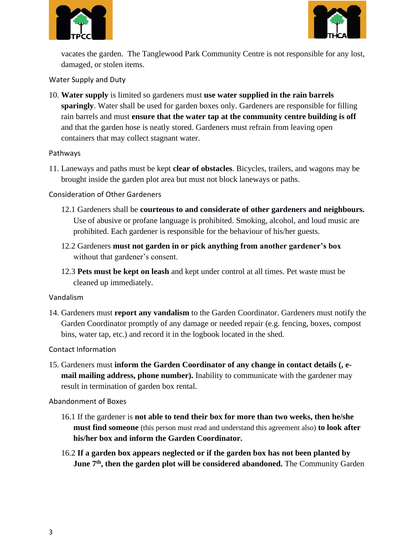



vacates the garden. The Tanglewood Park Community Centre is not responsible for any lost, damaged, or stolen items.

Water Supply and Duty

10. **Water supply** is limited so gardeners must **use water supplied in the rain barrels sparingly**. Water shall be used for garden boxes only. Gardeners are responsible for filling rain barrels and must **ensure that the water tap at the community centre building is off**  and that the garden hose is neatly stored. Gardeners must refrain from leaving open containers that may collect stagnant water.

### Pathways

11. Laneways and paths must be kept **clear of obstacles**. Bicycles, trailers, and wagons may be brought inside the garden plot area but must not block laneways or paths.

Consideration of Other Gardeners

- 12.1 Gardeners shall be **courteous to and considerate of other gardeners and neighbours.** Use of abusive or profane language is prohibited. Smoking, alcohol, and loud music are prohibited. Each gardener is responsible for the behaviour of his/her guests.
- 12.2 Gardeners **must not garden in or pick anything from another gardener's box** without that gardener's consent.
- 12.3 **Pets must be kept on leash** and kept under control at all times. Pet waste must be cleaned up immediately.

### Vandalism

14. Gardeners must **report any vandalism** to the Garden Coordinator. Gardeners must notify the Garden Coordinator promptly of any damage or needed repair (e.g. fencing, boxes, compost bins, water tap, etc.) and record it in the logbook located in the shed.

Contact Information

15. Gardeners must **inform the Garden Coordinator of any change in contact details (, email mailing address, phone number).** Inability to communicate with the gardener may result in termination of garden box rental.

Abandonment of Boxes

- 16.1 If the gardener is **not able to tend their box for more than two weeks, then he/she must find someone** (this person must read and understand this agreement also) **to look after his/her box and inform the Garden Coordinator.**
- 16.2 **If a garden box appears neglected or if the garden box has not been planted by June 7th, then the garden plot will be considered abandoned.** The Community Garden